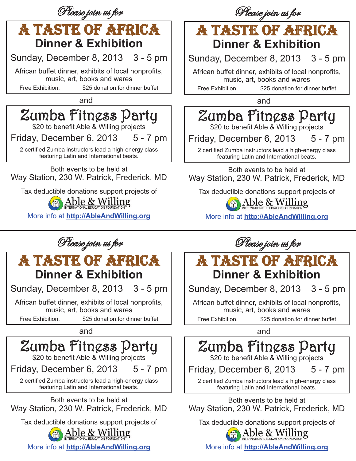